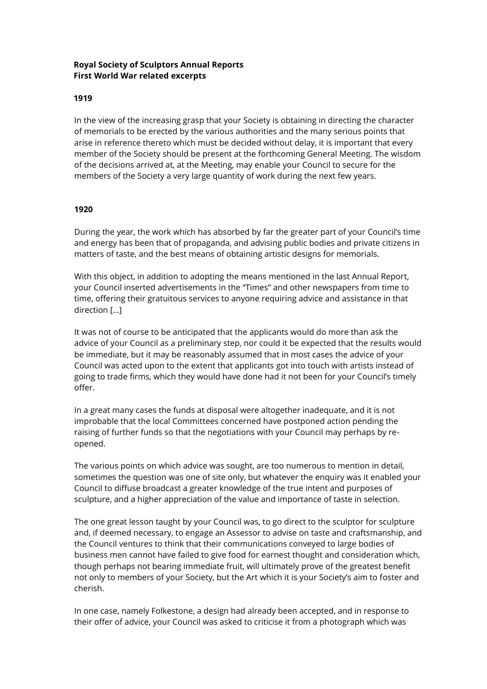# **Royal Society of Sculptors Annual Reports First World War related excerpts**

### **1919**

In the view of the increasing grasp that your Society is obtaining in directing the character of memorials to be erected by the various authorities and the many serious points that arise in reference thereto which must be decided without delay, it is important that every member of the Society should be present at the forthcoming General Meeting. The wisdom of the decisions arrived at, at the Meeting, may enable your Council to secure for the members of the Society a very large quantity of work during the next few years.

## **1920**

During the year, the work which has absorbed by far the greater part of your Council's time and energy has been that of propaganda, and advising public bodies and private citizens in matters of taste, and the best means of obtaining artistic designs for memorials.

With this object, in addition to adopting the means mentioned in the last Annual Report, your Council inserted advertisements in the "Times" and other newspapers from time to time, offering their gratuitous services to anyone requiring advice and assistance in that direction […]

It was not of course to be anticipated that the applicants would do more than ask the advice of your Council as a preliminary step, nor could it be expected that the results would be immediate, but it may be reasonably assumed that in most cases the advice of your Council was acted upon to the extent that applicants got into touch with artists instead of going to trade firms, which they would have done had it not been for your Council's timely offer.

In a great many cases the funds at disposal were altogether inadequate, and it is not improbable that the local Committees concerned have postponed action pending the raising of further funds so that the negotiations with your Council may perhaps by reopened.

The various points on which advice was sought, are too numerous to mention in detail, sometimes the question was one of site only, but whatever the enquiry was it enabled your Council to diffuse broadcast a greater knowledge of the true intent and purposes of sculpture, and a higher appreciation of the value and importance of taste in selection.

The one great lesson taught by your Council was, to go direct to the sculptor for sculpture and, if deemed necessary, to engage an Assessor to advise on taste and craftsmanship, and the Council ventures to think that their communications conveyed to large bodies of business men cannot have failed to give food for earnest thought and consideration which, though perhaps not bearing immediate fruit, will ultimately prove of the greatest benefit not only to members of your Society, but the Art which it is your Society's aim to foster and cherish.

In one case, namely Folkestone, a design had already been accepted, and in response to their offer of advice, your Council was asked to criticise it from a photograph which was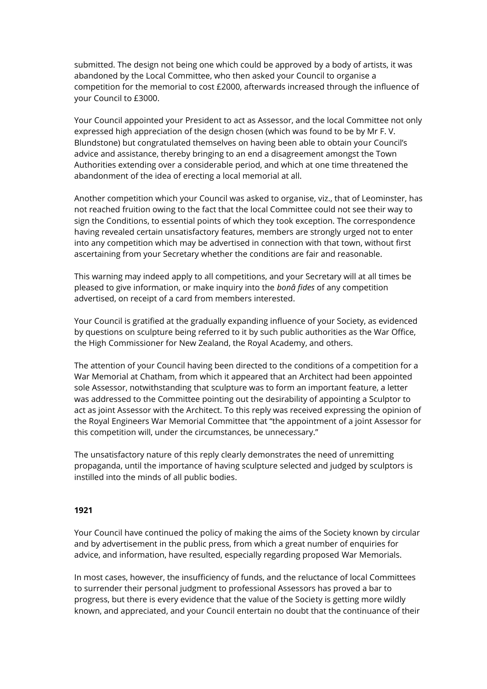submitted. The design not being one which could be approved by a body of artists, it was abandoned by the Local Committee, who then asked your Council to organise a competition for the memorial to cost £2000, afterwards increased through the influence of your Council to £3000.

Your Council appointed your President to act as Assessor, and the local Committee not only expressed high appreciation of the design chosen (which was found to be by Mr F. V. Blundstone) but congratulated themselves on having been able to obtain your Council's advice and assistance, thereby bringing to an end a disagreement amongst the Town Authorities extending over a considerable period, and which at one time threatened the abandonment of the idea of erecting a local memorial at all.

Another competition which your Council was asked to organise, viz., that of Leominster, has not reached fruition owing to the fact that the local Committee could not see their way to sign the Conditions, to essential points of which they took exception. The correspondence having revealed certain unsatisfactory features, members are strongly urged not to enter into any competition which may be advertised in connection with that town, without first ascertaining from your Secretary whether the conditions are fair and reasonable.

This warning may indeed apply to all competitions, and your Secretary will at all times be pleased to give information, or make inquiry into the *bonâ fides* of any competition advertised, on receipt of a card from members interested.

Your Council is gratified at the gradually expanding influence of your Society, as evidenced by questions on sculpture being referred to it by such public authorities as the War Office, the High Commissioner for New Zealand, the Royal Academy, and others.

The attention of your Council having been directed to the conditions of a competition for a War Memorial at Chatham, from which it appeared that an Architect had been appointed sole Assessor, notwithstanding that sculpture was to form an important feature, a letter was addressed to the Committee pointing out the desirability of appointing a Sculptor to act as joint Assessor with the Architect. To this reply was received expressing the opinion of the Royal Engineers War Memorial Committee that "the appointment of a joint Assessor for this competition will, under the circumstances, be unnecessary."

The unsatisfactory nature of this reply clearly demonstrates the need of unremitting propaganda, until the importance of having sculpture selected and judged by sculptors is instilled into the minds of all public bodies.

# **1921**

Your Council have continued the policy of making the aims of the Society known by circular and by advertisement in the public press, from which a great number of enquiries for advice, and information, have resulted, especially regarding proposed War Memorials.

In most cases, however, the insufficiency of funds, and the reluctance of local Committees to surrender their personal judgment to professional Assessors has proved a bar to progress, but there is every evidence that the value of the Society is getting more wildly known, and appreciated, and your Council entertain no doubt that the continuance of their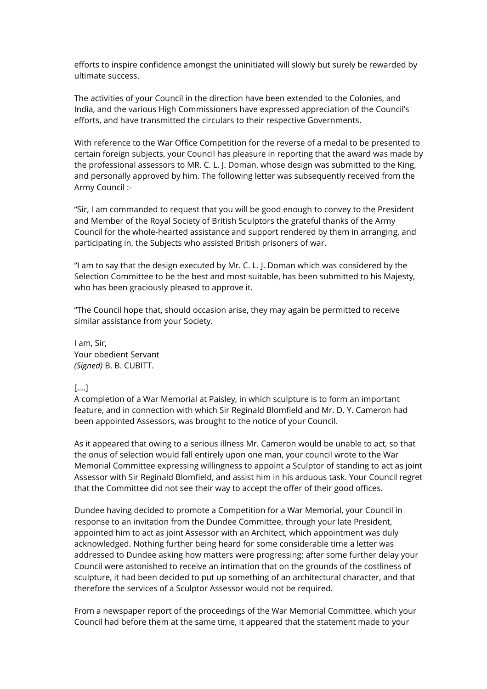efforts to inspire confidence amongst the uninitiated will slowly but surely be rewarded by ultimate success.

The activities of your Council in the direction have been extended to the Colonies, and India, and the various High Commissioners have expressed appreciation of the Council's efforts, and have transmitted the circulars to their respective Governments.

With reference to the War Office Competition for the reverse of a medal to be presented to certain foreign subjects, your Council has pleasure in reporting that the award was made by the professional assessors to MR. C. L. J. Doman, whose design was submitted to the King, and personally approved by him. The following letter was subsequently received from the Army Council :-

"Sir, I am commanded to request that you will be good enough to convey to the President and Member of the Royal Society of British Sculptors the grateful thanks of the Army Council for the whole-hearted assistance and support rendered by them in arranging, and participating in, the Subjects who assisted British prisoners of war.

"I am to say that the design executed by Mr. C. L. J. Doman which was considered by the Selection Committee to be the best and most suitable, has been submitted to his Majesty, who has been graciously pleased to approve it.

"The Council hope that, should occasion arise, they may again be permitted to receive similar assistance from your Society.

I am, Sir, Your obedient Servant *(Signed)* B. B. CUBITT.

### [….]

A completion of a War Memorial at Paisley, in which sculpture is to form an important feature, and in connection with which Sir Reginald Blomfield and Mr. D. Y. Cameron had been appointed Assessors, was brought to the notice of your Council.

As it appeared that owing to a serious illness Mr. Cameron would be unable to act, so that the onus of selection would fall entirely upon one man, your council wrote to the War Memorial Committee expressing willingness to appoint a Sculptor of standing to act as joint Assessor with Sir Reginald Blomfield, and assist him in his arduous task. Your Council regret that the Committee did not see their way to accept the offer of their good offices.

Dundee having decided to promote a Competition for a War Memorial, your Council in response to an invitation from the Dundee Committee, through your late President, appointed him to act as joint Assessor with an Architect, which appointment was duly acknowledged. Nothing further being heard for some considerable time a letter was addressed to Dundee asking how matters were progressing; after some further delay your Council were astonished to receive an intimation that on the grounds of the costliness of sculpture, it had been decided to put up something of an architectural character, and that therefore the services of a Sculptor Assessor would not be required.

From a newspaper report of the proceedings of the War Memorial Committee, which your Council had before them at the same time, it appeared that the statement made to your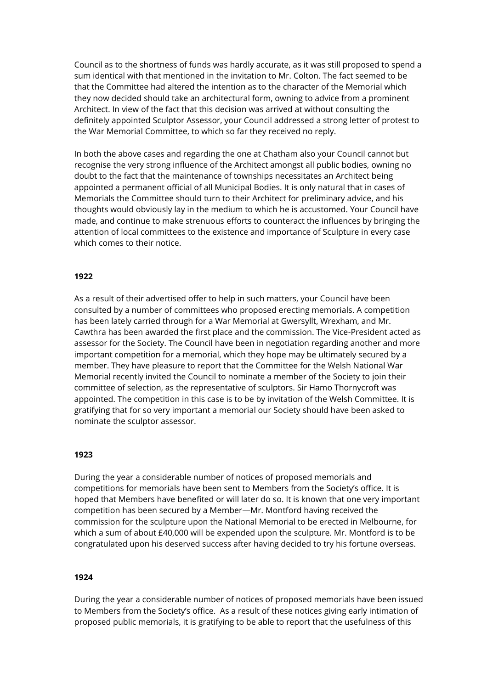Council as to the shortness of funds was hardly accurate, as it was still proposed to spend a sum identical with that mentioned in the invitation to Mr. Colton. The fact seemed to be that the Committee had altered the intention as to the character of the Memorial which they now decided should take an architectural form, owning to advice from a prominent Architect. In view of the fact that this decision was arrived at without consulting the definitely appointed Sculptor Assessor, your Council addressed a strong letter of protest to the War Memorial Committee, to which so far they received no reply.

In both the above cases and regarding the one at Chatham also your Council cannot but recognise the very strong influence of the Architect amongst all public bodies, owning no doubt to the fact that the maintenance of townships necessitates an Architect being appointed a permanent official of all Municipal Bodies. It is only natural that in cases of Memorials the Committee should turn to their Architect for preliminary advice, and his thoughts would obviously lay in the medium to which he is accustomed. Your Council have made, and continue to make strenuous efforts to counteract the influences by bringing the attention of local committees to the existence and importance of Sculpture in every case which comes to their notice.

### **1922**

As a result of their advertised offer to help in such matters, your Council have been consulted by a number of committees who proposed erecting memorials. A competition has been lately carried through for a War Memorial at Gwersyllt, Wrexham, and Mr. Cawthra has been awarded the first place and the commission. The Vice-President acted as assessor for the Society. The Council have been in negotiation regarding another and more important competition for a memorial, which they hope may be ultimately secured by a member. They have pleasure to report that the Committee for the Welsh National War Memorial recently invited the Council to nominate a member of the Society to join their committee of selection, as the representative of sculptors. Sir Hamo Thornycroft was appointed. The competition in this case is to be by invitation of the Welsh Committee. It is gratifying that for so very important a memorial our Society should have been asked to nominate the sculptor assessor.

#### **1923**

During the year a considerable number of notices of proposed memorials and competitions for memorials have been sent to Members from the Society's office. It is hoped that Members have benefited or will later do so. It is known that one very important competition has been secured by a Member—Mr. Montford having received the commission for the sculpture upon the National Memorial to be erected in Melbourne, for which a sum of about £40,000 will be expended upon the sculpture. Mr. Montford is to be congratulated upon his deserved success after having decided to try his fortune overseas.

### **1924**

During the year a considerable number of notices of proposed memorials have been issued to Members from the Society's office. As a result of these notices giving early intimation of proposed public memorials, it is gratifying to be able to report that the usefulness of this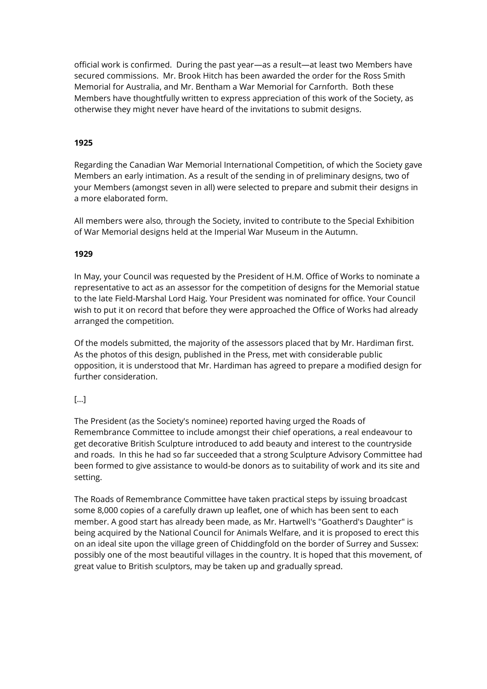official work is confirmed. During the past year—as a result—at least two Members have secured commissions. Mr. Brook Hitch has been awarded the order for the Ross Smith Memorial for Australia, and Mr. Bentham a War Memorial for Carnforth. Both these Members have thoughtfully written to express appreciation of this work of the Society, as otherwise they might never have heard of the invitations to submit designs.

# **1925**

Regarding the Canadian War Memorial International Competition, of which the Society gave Members an early intimation. As a result of the sending in of preliminary designs, two of your Members (amongst seven in all) were selected to prepare and submit their designs in a more elaborated form.

All members were also, through the Society, invited to contribute to the Special Exhibition of War Memorial designs held at the Imperial War Museum in the Autumn.

## **1929**

In May, your Council was requested by the President of H.M. Office of Works to nominate a representative to act as an assessor for the competition of designs for the Memorial statue to the late Field-Marshal Lord Haig. Your President was nominated for office. Your Council wish to put it on record that before they were approached the Office of Works had already arranged the competition.

Of the models submitted, the majority of the assessors placed that by Mr. Hardiman first. As the photos of this design, published in the Press, met with considerable public opposition, it is understood that Mr. Hardiman has agreed to prepare a modified design for further consideration.

# […]

The President (as the Society's nominee) reported having urged the Roads of Remembrance Committee to include amongst their chief operations, a real endeavour to get decorative British Sculpture introduced to add beauty and interest to the countryside and roads. In this he had so far succeeded that a strong Sculpture Advisory Committee had been formed to give assistance to would-be donors as to suitability of work and its site and setting.

The Roads of Remembrance Committee have taken practical steps by issuing broadcast some 8,000 copies of a carefully drawn up leaflet, one of which has been sent to each member. A good start has already been made, as Mr. Hartwell's "Goatherd's Daughter" is being acquired by the National Council for Animals Welfare, and it is proposed to erect this on an ideal site upon the village green of Chiddingfold on the border of Surrey and Sussex: possibly one of the most beautiful villages in the country. It is hoped that this movement, of great value to British sculptors, may be taken up and gradually spread.